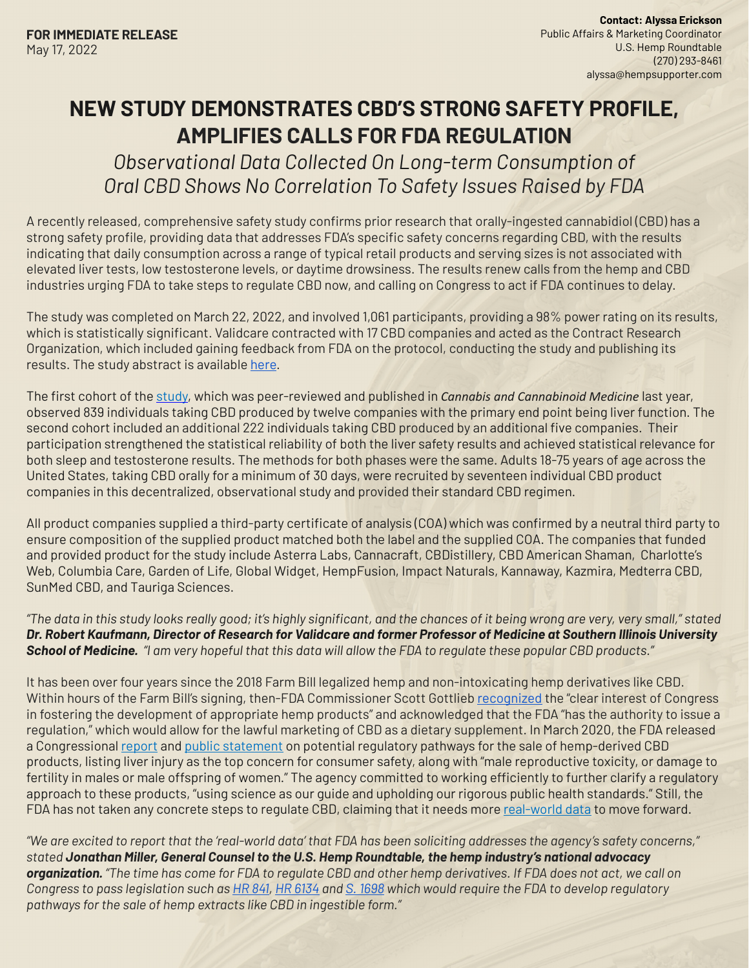## **NEW STUDY DEMONSTRATES CBD'S STRONG SAFETY PROFILE, AMPLIFIES CALLS FOR FDA REGULATION**

*Observational Data Collected On Long-term Consumption of Oral CBD Shows No Correlation To Safety Issues Raised by FDA*

A recently released, comprehensive safety study confirms prior research that orally-ingested cannabidiol (CBD) has a strong safety profile, providing data that addresses FDA's specific safety concerns regarding CBD, with the results indicating that daily consumption across a range of typical retail products and serving sizes is not associated with elevated liver tests, low testosterone levels, or daytime drowsiness. The results renew calls from the hemp and CBD industries urging FDA to take steps to regulate CBD now, and calling on Congress to act if FDA continues to delay.

The study was completed on March 22, 2022, and involved 1,061 participants, providing a 98% power rating on its results, which is statistically significant. Validcare contracted with 17 CBD companies and acted as the Contract Research Organization, which included gaining feedback from FDA on the protocol, conducting the study and publishing its results. The study abstract is available [here](https://app.hubspot.com/documents/4153268/view/303614964?accessId=54034b).

The first cohort of the [study,](https://app.hubspot.com/documents/4153268/view/305607347?accessId=c4ab59) which was peer-reviewed and published in *Cannabis and Cannabinoid Medicine* last year, observed 839 individuals taking CBD produced by twelve companies with the primary end point being liver function. The second cohort included an additional 222 individuals taking CBD produced by an additional five companies. Their participation strengthened the statistical reliability of both the liver safety results and achieved statistical relevance for both sleep and testosterone results. The methods for both phases were the same. Adults 18-75 years of age across the United States, taking CBD orally for a minimum of 30 days, were recruited by seventeen individual CBD product companies in this decentralized, observational study and provided their standard CBD regimen.

All product companies supplied a third-party certificate of analysis (COA) which was confirmed by a neutral third party to ensure composition of the supplied product matched both the label and the supplied COA. The companies that funded and provided product for the study include Asterra Labs, Cannacraft, CBDistillery, CBD American Shaman, Charlotte's Web, Columbia Care, Garden of Life, Global Widget, HempFusion, Impact Naturals, Kannaway, Kazmira, Medterra CBD, SunMed CBD, and Tauriga Sciences.

*"The data in this study looks really good; it's highly significant, and the chances of it being wrong are very, very small," stated Dr. Robert Kaufmann, Director of Research for Validcare and former Professor of Medicine at Southern Illinois University School of Medicine. "I am very hopeful that this data will allow the FDA to regulate these popular CBD products."*

It has been over four years since the 2018 Farm Bill legalized hemp and non-intoxicating hemp derivatives like CBD. Within hours of the Farm Bill's signing, then-FDA Commissioner Scott Gottlieb [recognized](https://www.fda.gov/news-events/press-announcements/statement-fda-commissioner-scott-gottlieb-md-signing-agriculture-improvement-act-and-agencys) the "clear interest of Congress in fostering the development of appropriate hemp products" and acknowledged that the FDA "has the authority to issue a regulation," which would allow for the lawful marketing of CBD as a dietary supplement. In March 2020, the FDA released a Congressional [report](https://hempsupporter.us17.list-manage.com/track/click?u=1b61b28eae54b8d51e883a3f8&id=6fec49f220&e=26d1cf8827) and [public statement](https://www.fda.gov/news-events/press-announcements/fda-advances-work-related-cannabidiol-products-focus-protecting-public-health-providing-market?utm_campaign=030520_PR_FDA%2520Advances%2520Work%2520Related%2520to%2520Cannabidiol%2520Products&utm_medium=email&utm_source=Eloqua) on potential regulatory pathways for the sale of hemp-derived CBD products, listing liver injury as the top concern for consumer safety, along with "male reproductive toxicity, or damage to fertility in males or male offspring of women." The agency committed to working efficiently to further clarify a regulatory approach to these products, "using science as our guide and upholding our rigorous public health standards." Still, the FDA has not taken any concrete steps to regulate CBD, claiming that it needs more [real-world data](https://www.fda.gov/news-events/fda-voices/better-data-better-understanding-use-and-safety-profile-cannabidiol-cbd-products) to move forward.

*"We are excited to report that the 'real-world data' that FDA has been soliciting addresses the agency's safety concerns," stated Jonathan Miller, General Counsel to the U.S. Hemp Roundtable, the hemp industry's national advocacy organization. "The time has come for FDA to regulate CBD and other hemp derivatives. If FDA does not act, we call on Congress to pass legislation such as [HR 841](https://hempsupporter.com/assets/uploads/USHRT_HR841_TwoPager.pdf), [HR 6134](https://hempsupporter.com/assets/uploads/USHR_HR6134_TwoPager.pdf) and [S. 1698](https://hempsupporter.com/assets/uploads/USHRT_S1698_TwoPager.pdf) which would require the FDA to develop regulatory pathways for the sale of hemp extracts like CBD in ingestible form."*